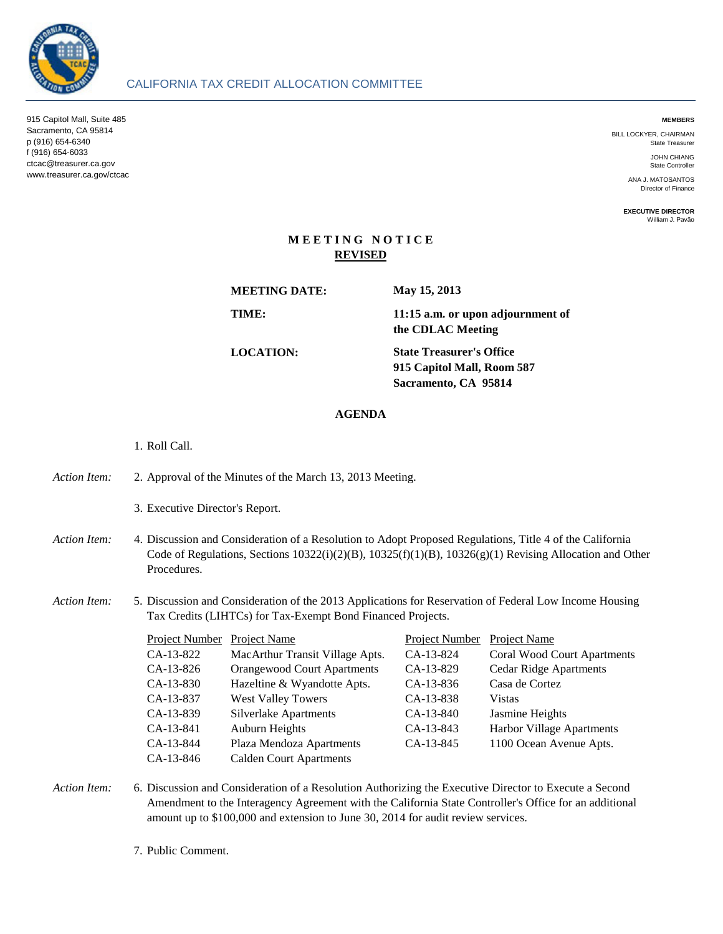

915 Capitol Mall, Suite 485 Sacramento, CA 95814 p (916) 654-6340 f (916) 654-6033 ctcac@treasurer.ca.gov www.treasurer.ca.gov/ctcac

#### **MEMBERS**

BILL LOCKYER, CHAIRMAN State Treasurer

> JOHN CHIANG State Controller

ANA J. MATOSANTOS Director of Finance

**EXECUTIVE DIRECTOR** William J. Pavão

# **M E E T I N G N O T I C E REVISED**

**MEETING DATE:**

**May 15, 2013**

**TIME:**

**11:15 a.m. or upon adjournment of the CDLAC Meeting**

**LOCATION:**

**915 Capitol Mall, Room 587 Sacramento, CA 95814 State Treasurer's Office**

## **AGENDA**

- 1. Roll Call.
- *Action Item:* 2. 2. Approval of the Minutes of the March 13, 2013 Meeting.
	- 3. Executive Director's Report.
- Action Item: Discussion and Consideration of a Resolution to Adopt Proposed Regulations, Title 4 of the California Code of Regulations, Sections 10322(i)(2)(B), 10325(f)(1)(B), 10326(g)(1) Revising Allocation and Other Procedures.

#### *Action Item:* 5. 5. Discussion and Consideration of the 2013 Applications for Reservation of Federal Low Income Housing Tax Credits (LIHTCs) for Tax-Exempt Bond Financed Projects.

| Project Number Project Name |                                    | Project Number | Project Name                       |
|-----------------------------|------------------------------------|----------------|------------------------------------|
| CA-13-822                   | MacArthur Transit Village Apts.    | CA-13-824      | <b>Coral Wood Court Apartments</b> |
| CA-13-826                   | <b>Orangewood Court Apartments</b> | CA-13-829      | <b>Cedar Ridge Apartments</b>      |
| CA-13-830                   | Hazeltine & Wyandotte Apts.        | CA-13-836      | Casa de Cortez                     |
| CA-13-837                   | <b>West Valley Towers</b>          | CA-13-838      | Vistas                             |
| CA-13-839                   | <b>Silverlake Apartments</b>       | CA-13-840      | Jasmine Heights                    |
| CA-13-841                   | Auburn Heights                     | CA-13-843      | Harbor Village Apartments          |
| CA-13-844                   | Plaza Mendoza Apartments           | CA-13-845      | 1100 Ocean Avenue Apts.            |
| CA-13-846                   | <b>Calden Court Apartments</b>     |                |                                    |

Action Item: Discussion and Consideration of a Resolution Authorizing the Executive Director to Execute a Second Amendment to the Interagency Agreement with the California State Controller's Office for an additional amount up to \$100,000 and extension to June 30, 2014 for audit review services.

7. Public Comment.